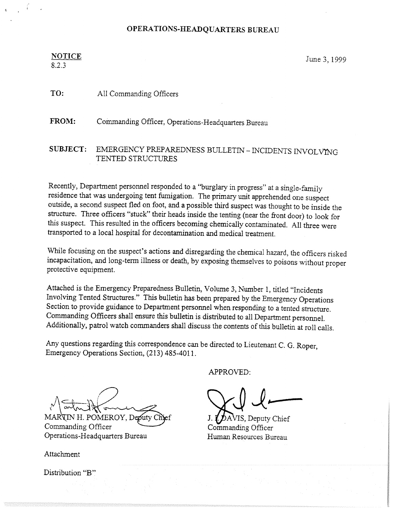#### ONS.HEADC

## NOTICE June 3, 1999

8.2.3

## TO: All Commanding Officers

<sup>F</sup>ROM: Commanding Officer, Operations-Headquarters Bureau

## SUBJECT: EMERGENCY PREPAREDNESS BULLETIN - INCIDENTS INVOLVING TENTED STRUCTURES

<sup>R</sup>ecently, Department personnel responded to a "burglary in progress" at asingle-family residence that was undergoing tent fumigation. The primary unit apprehended one suspect <sup>o</sup>utside, a second suspect fled on foot, and a possible third suspect was thought to be inside the <sup>s</sup>tructure. Three officers "stuck" their heads inside the tenting (near the front door) to look for <sup>t</sup>his suspect. This resulted in the officers becoming chemically contaminated. All three were <sup>t</sup>ransported to a local hospital for decontamination and medical treatment.

<sup>W</sup>hile focusing on the suspect's actions and disregarding the chemical hazard, the officers risked <sup>i</sup>ncapacitation, and long-term illness or death, by exposing themselves to poisons without proper protective equipment.

Attached is the Emergency Preparedness Bulletin, Volume 3, Number 1, titled "Incidents <sup>I</sup>nvolving Tented Structures." This bulletin has been prepared by the Emergency Operations Section to provide guidance to Department personnel when responding to a tented structure. Commanding Officers shall ensure this bulletin is distributed to all Department personnel. <sup>A</sup>dditionally, patrol watch commanders shall discuss the contents of this bulletin at roll calls.

<sup>A</sup>ny questions regarding this correspondence can be directed to Lieutenant C. G. Roper, <sup>E</sup>mergency Operations Section, (213) 485-40I 1.

APPROVED:

v 1 arm 18 m

MARTIN H. POMEROY, Deputy O Commanding Officer Operations-Headquarters Bureau

Attachment

Distribution "B'°

~..~~

 $\mathbf{\mathcal{D}}$ AVIS, Deputy Chief Commanding Officer Human Resources Bureau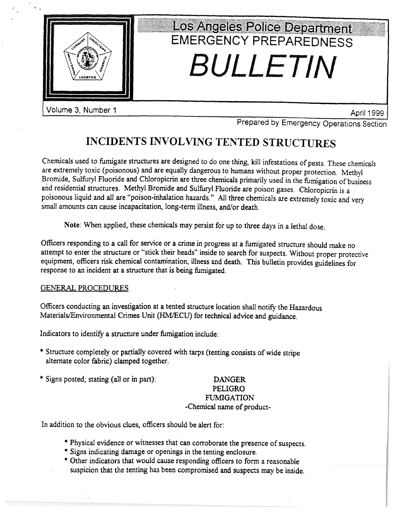

Volume 3, Number 1 April 1999

~~

<sup>P</sup>repared by Emergency Operations Section

# <sup>I</sup>NCIDENTS INVOLVING TENTED STRUCTURES

<sup>C</sup>hemicals used to fumigate structures are designed to do one thing, kill infestations of pests. These chemicals are extremely toxic (poisonous) and are equally dangerous to humans without proper protection. Methyl <sup>B</sup>romide, Sulfuryl Fluoride and Chloropicrin are three chemicals primarily used in the fumigation of business <sup>a</sup>nd residential structures. Methyl. Bromide and Sulfuryi Fluoride are poison gases. Chloropicrin is <sup>a</sup> <sup>p</sup>oisonous liquid and all are "poison-inhalation hazards." All three chemicals are extremely toxic and very <sup>s</sup>mall amounts can cause incapacitation, long-term illness, and/or death.

<sup>N</sup>ote: When applied, these chemicals may persist for up to three days in a lethal dose.

<sup>O</sup>fficers responding to a call for service or a crime in progress at a fumigated structure should make no <sup>a</sup>ttempt to enter the structure or "stick their heads" inside to search for suspects. Without proper protective <sup>e</sup>quipment, officers risk. chemical contamination, illness and death. This bulletin provides guidelines for <sup>r</sup>esponse to an incident at a structure that is being fumigated.

### GENERAL PROCEDURES

<sup>O</sup>fficers conducting an investigation at a tented structure location shalt notify the Hazardous Materials/Environmental Crimes Unit (HM/ECU) for technical advice and guidance.

<sup>I</sup>ndicators to identify a structure under fumigation include:

- \* Structure completely or partially covered with tarps (tenting consists of wide stripe <sup>a</sup>lternate color fabric} clamped together.
- \* Signs posted; stating (a21 or in part): DANGER

## PELIGRO **FUMIGATION** -Chemical name of product-

In addition to the obvious clues, officers should be alert for:

- \* Physical evidence or witnesses that can corroborate the presence of suspects.
- \* Signs indicating damage ar openings in the tenting enclosure.
- \* Other indicators that would .cause responding officers to form a reasonable <sup>s</sup>uspicion that the tenting has been compromised and suspects may be inside.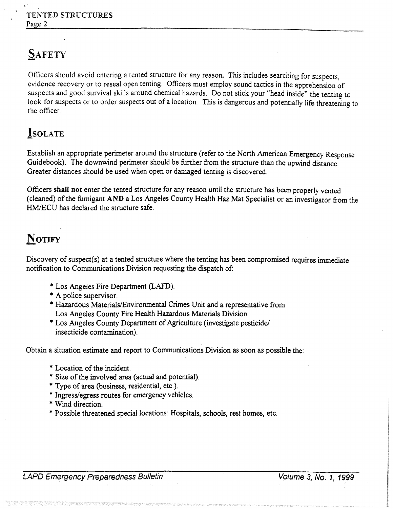# **SAFETY**

Officers should avoid entering a tented structure for any reason. This includes searching for suspects, evidence recovery or to reseal open tenting. Officers must employ sound tactics in the apprehension of suspects and good survival skills around chemical hazards. Do not stick your "head inside" the tenting to look for suspects or to order suspects out of a location. This is dangerous and potentially life threatening to the officer.

## **ISOLATE**

Establish an appropriate perimeter around the structure (refer to the North American Emergency Response Guidebook). The downwind perimeter should be further from the structure than the upwind distance. Greater distances should be used when open or damaged tenting is discovered.

Officers shalt not enter the tented structure for any reason until the structure has been properly vented (cleaned) of the fumigant AND a Los Angeles County Health Haz Mat Specialist or an investigator from the HM/ECU has declared the structure safe.

## NOTIFY

Discovery of suspect(s) at a tented structure where the tenting has been compromised requires immediate notification to Communications Division requesting the dispatch of:

- \* Los Angeles Fire Department (LAFD}.
- \* A police supervisor.
- \* Hazardous Materials/Environmental Crimes Unit and a representative from Los Angeles County Fire Health Hazardous Materials Division.
- \*Los Angeles County Department of Agriculture (investigate pesticide! insecticide contamination).

Obtain a situation estimate and report to Communications Division as soon as possible the:

- \* Location of the incident.
- \* Size of the involved area (actual and potential).
- \* Type of area (business, residential, etc.}.
- \* Ingress/egress routes for emergency vehicles.
- \* Wind direction.
- \* Possible threatened special locations: Hospitals, schools, rest homes, etc.